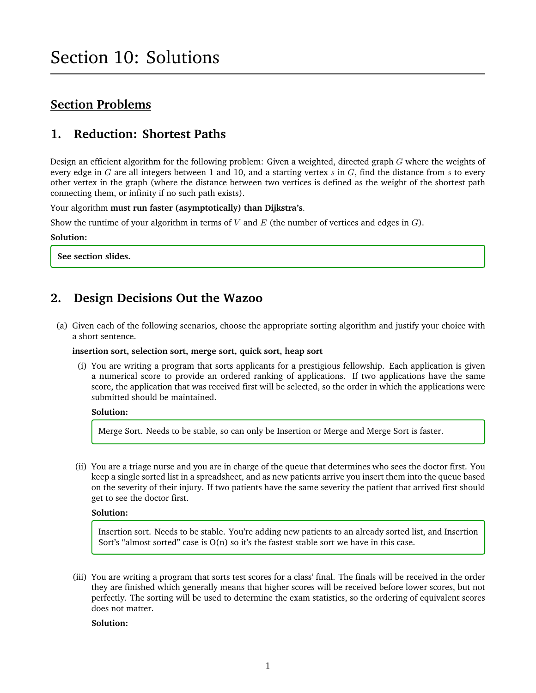## **Section Problems**

## **1. Reduction: Shortest Paths**

Design an efficient algorithm for the following problem: Given a weighted, directed graph G where the weights of every edge in  $G$  are all integers between 1 and 10, and a starting vertex  $s$  in  $G$ , find the distance from  $s$  to every other vertex in the graph (where the distance between two vertices is defined as the weight of the shortest path connecting them, or infinity if no such path exists).

Your algorithm **must run faster (asymptotically) than Dijkstra's**.

Show the runtime of your algorithm in terms of V and E (the number of vertices and edges in  $G$ ).

### **Solution:**

**See section slides.**

## **2. Design Decisions Out the Wazoo**

(a) Given each of the following scenarios, choose the appropriate sorting algorithm and justify your choice with a short sentence.

### **insertion sort, selection sort, merge sort, quick sort, heap sort**

(i) You are writing a program that sorts applicants for a prestigious fellowship. Each application is given a numerical score to provide an ordered ranking of applications. If two applications have the same score, the application that was received first will be selected, so the order in which the applications were submitted should be maintained.

### **Solution:**

Merge Sort. Needs to be stable, so can only be Insertion or Merge and Merge Sort is faster.

(ii) You are a triage nurse and you are in charge of the queue that determines who sees the doctor first. You keep a single sorted list in a spreadsheet, and as new patients arrive you insert them into the queue based on the severity of their injury. If two patients have the same severity the patient that arrived first should get to see the doctor first.

### **Solution:**

Insertion sort. Needs to be stable. You're adding new patients to an already sorted list, and Insertion Sort's "almost sorted" case is O(n) so it's the fastest stable sort we have in this case.

(iii) You are writing a program that sorts test scores for a class' final. The finals will be received in the order they are finished which generally means that higher scores will be received before lower scores, but not perfectly. The sorting will be used to determine the exam statistics, so the ordering of equivalent scores does not matter.

### **Solution:**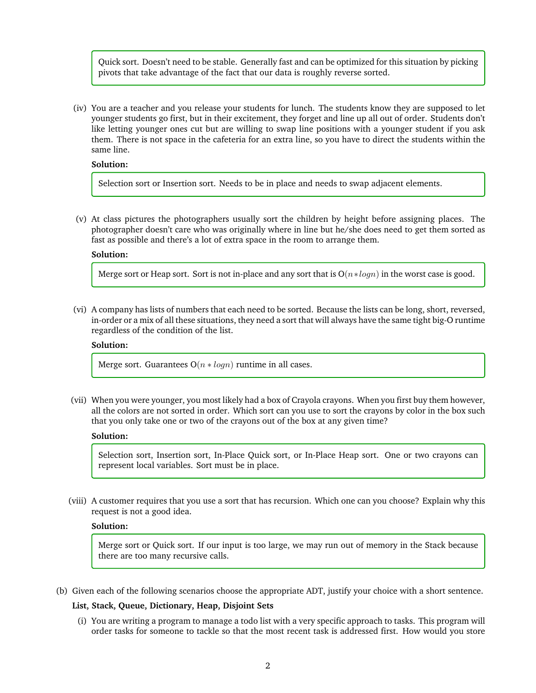Quick sort. Doesn't need to be stable. Generally fast and can be optimized for this situation by picking pivots that take advantage of the fact that our data is roughly reverse sorted.

(iv) You are a teacher and you release your students for lunch. The students know they are supposed to let younger students go first, but in their excitement, they forget and line up all out of order. Students don't like letting younger ones cut but are willing to swap line positions with a younger student if you ask them. There is not space in the cafeteria for an extra line, so you have to direct the students within the same line.

### **Solution:**

Selection sort or Insertion sort. Needs to be in place and needs to swap adjacent elements.

(v) At class pictures the photographers usually sort the children by height before assigning places. The photographer doesn't care who was originally where in line but he/she does need to get them sorted as fast as possible and there's a lot of extra space in the room to arrange them.

### **Solution:**

Merge sort or Heap sort. Sort is not in-place and any sort that is  $O(n * log n)$  in the worst case is good.

(vi) A company has lists of numbers that each need to be sorted. Because the lists can be long, short, reversed, in-order or a mix of all these situations, they need a sort that will always have the same tight big-O runtime regardless of the condition of the list.

### **Solution:**

Merge sort. Guarantees  $O(n * log n)$  runtime in all cases.

(vii) When you were younger, you most likely had a box of Crayola crayons. When you first buy them however, all the colors are not sorted in order. Which sort can you use to sort the crayons by color in the box such that you only take one or two of the crayons out of the box at any given time?

### **Solution:**

Selection sort, Insertion sort, In-Place Quick sort, or In-Place Heap sort. One or two crayons can represent local variables. Sort must be in place.

(viii) A customer requires that you use a sort that has recursion. Which one can you choose? Explain why this request is not a good idea.

#### **Solution:**

Merge sort or Quick sort. If our input is too large, we may run out of memory in the Stack because there are too many recursive calls.

(b) Given each of the following scenarios choose the appropriate ADT, justify your choice with a short sentence.

### **List, Stack, Queue, Dictionary, Heap, Disjoint Sets**

(i) You are writing a program to manage a todo list with a very specific approach to tasks. This program will order tasks for someone to tackle so that the most recent task is addressed first. How would you store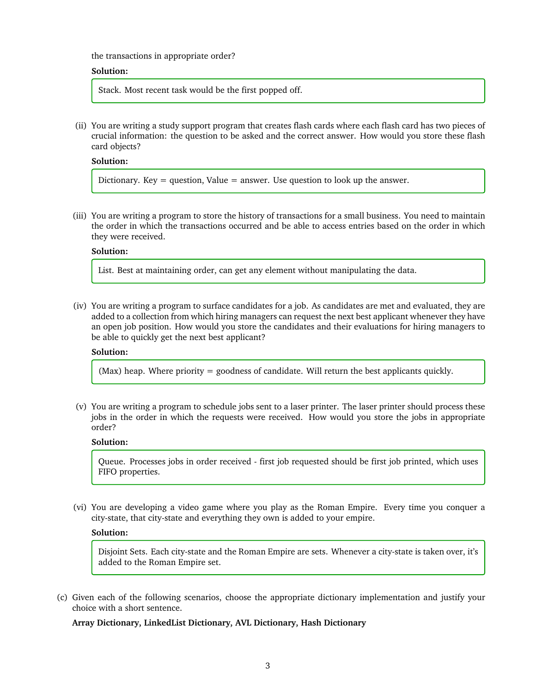the transactions in appropriate order?

### **Solution:**

Stack. Most recent task would be the first popped off.

(ii) You are writing a study support program that creates flash cards where each flash card has two pieces of crucial information: the question to be asked and the correct answer. How would you store these flash card objects?

**Solution:**

Dictionary. Key  $=$  question, Value  $=$  answer. Use question to look up the answer.

(iii) You are writing a program to store the history of transactions for a small business. You need to maintain the order in which the transactions occurred and be able to access entries based on the order in which they were received.

### **Solution:**

List. Best at maintaining order, can get any element without manipulating the data.

(iv) You are writing a program to surface candidates for a job. As candidates are met and evaluated, they are added to a collection from which hiring managers can request the next best applicant whenever they have an open job position. How would you store the candidates and their evaluations for hiring managers to be able to quickly get the next best applicant?

### **Solution:**

(Max) heap. Where priority = goodness of candidate. Will return the best applicants quickly.

(v) You are writing a program to schedule jobs sent to a laser printer. The laser printer should process these jobs in the order in which the requests were received. How would you store the jobs in appropriate order?

#### **Solution:**

Queue. Processes jobs in order received - first job requested should be first job printed, which uses FIFO properties.

(vi) You are developing a video game where you play as the Roman Empire. Every time you conquer a city-state, that city-state and everything they own is added to your empire.

### **Solution:**

Disjoint Sets. Each city-state and the Roman Empire are sets. Whenever a city-state is taken over, it's added to the Roman Empire set.

(c) Given each of the following scenarios, choose the appropriate dictionary implementation and justify your choice with a short sentence.

**Array Dictionary, LinkedList Dictionary, AVL Dictionary, Hash Dictionary**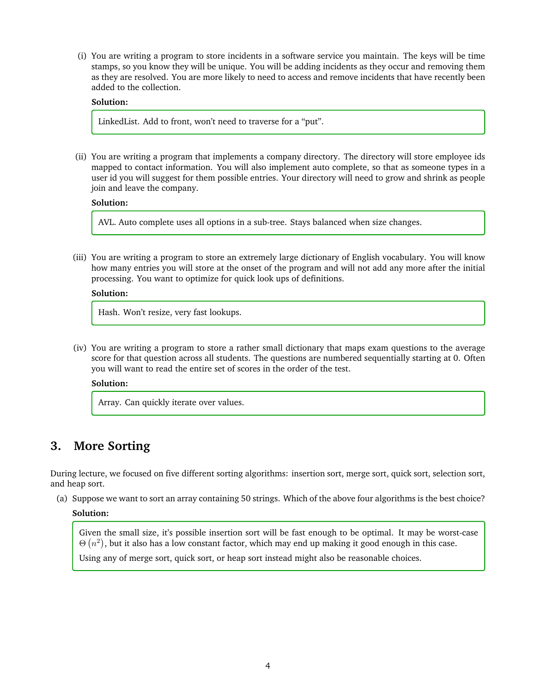(i) You are writing a program to store incidents in a software service you maintain. The keys will be time stamps, so you know they will be unique. You will be adding incidents as they occur and removing them as they are resolved. You are more likely to need to access and remove incidents that have recently been added to the collection.

### **Solution:**

LinkedList. Add to front, won't need to traverse for a "put".

(ii) You are writing a program that implements a company directory. The directory will store employee ids mapped to contact information. You will also implement auto complete, so that as someone types in a user id you will suggest for them possible entries. Your directory will need to grow and shrink as people join and leave the company.

### **Solution:**

AVL. Auto complete uses all options in a sub-tree. Stays balanced when size changes.

(iii) You are writing a program to store an extremely large dictionary of English vocabulary. You will know how many entries you will store at the onset of the program and will not add any more after the initial processing. You want to optimize for quick look ups of definitions.

### **Solution:**

Hash. Won't resize, very fast lookups.

(iv) You are writing a program to store a rather small dictionary that maps exam questions to the average score for that question across all students. The questions are numbered sequentially starting at 0. Often you will want to read the entire set of scores in the order of the test.

#### **Solution:**

Array. Can quickly iterate over values.

### **3. More Sorting**

During lecture, we focused on five different sorting algorithms: insertion sort, merge sort, quick sort, selection sort, and heap sort.

(a) Suppose we want to sort an array containing 50 strings. Which of the above four algorithms is the best choice?

### **Solution:**

Given the small size, it's possible insertion sort will be fast enough to be optimal. It may be worst-case  $\Theta\left(n^2\right)$ , but it also has a low constant factor, which may end up making it good enough in this case.

Using any of merge sort, quick sort, or heap sort instead might also be reasonable choices.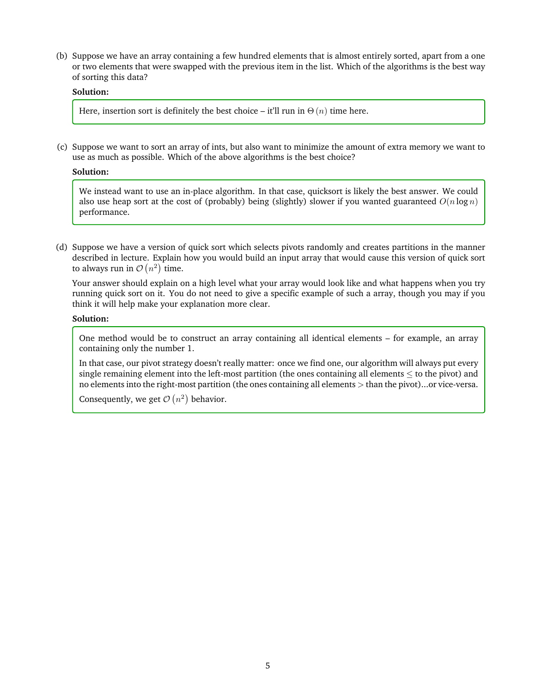(b) Suppose we have an array containing a few hundred elements that is almost entirely sorted, apart from a one or two elements that were swapped with the previous item in the list. Which of the algorithms is the best way of sorting this data?

### **Solution:**

Here, insertion sort is definitely the best choice – it'll run in  $\Theta(n)$  time here.

(c) Suppose we want to sort an array of ints, but also want to minimize the amount of extra memory we want to use as much as possible. Which of the above algorithms is the best choice?

#### **Solution:**

We instead want to use an in-place algorithm. In that case, quicksort is likely the best answer. We could also use heap sort at the cost of (probably) being (slightly) slower if you wanted guaranteed  $O(n \log n)$ performance.

(d) Suppose we have a version of quick sort which selects pivots randomly and creates partitions in the manner described in lecture. Explain how you would build an input array that would cause this version of quick sort to always run in  $\mathcal{O}(n^2)$  time.

Your answer should explain on a high level what your array would look like and what happens when you try running quick sort on it. You do not need to give a specific example of such a array, though you may if you think it will help make your explanation more clear.

### **Solution:**

One method would be to construct an array containing all identical elements – for example, an array containing only the number 1.

In that case, our pivot strategy doesn't really matter: once we find one, our algorithm will always put every single remaining element into the left-most partition (the ones containing all elements  $\leq$  to the pivot) and no elements into the right-most partition (the ones containing all elements > than the pivot)...or vice-versa.

Consequently, we get  $\mathcal{O}(n^2)$  behavior.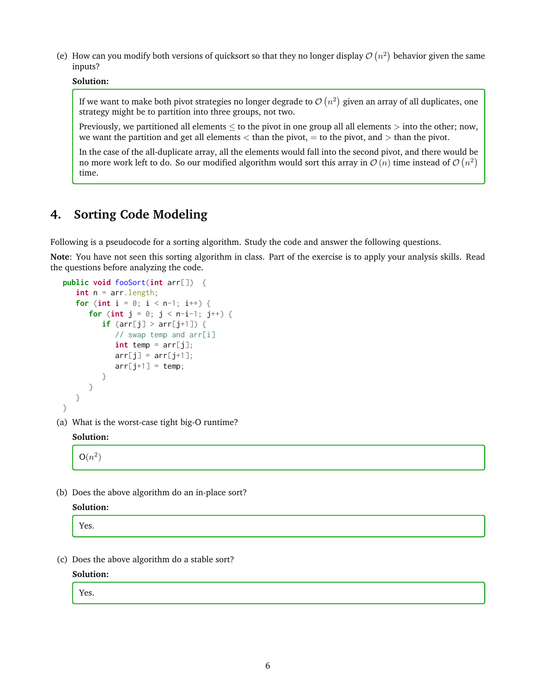(e) How can you modify both versions of quicksort so that they no longer display  $\mathcal{O}(n^2)$  behavior given the same inputs?

### **Solution:**

If we want to make both pivot strategies no longer degrade to  $\mathcal{O}\left(n^2\right)$  given an array of all duplicates, one strategy might be to partition into three groups, not two.

Previously, we partitioned all elements  $\leq$  to the pivot in one group all all elements  $>$  into the other; now, we want the partition and get all elements  $<$  than the pivot,  $=$  to the pivot, and  $>$  than the pivot.

In the case of the all-duplicate array, all the elements would fall into the second pivot, and there would be no more work left to do. So our modified algorithm would sort this array in  $\mathcal{O}\left(n\right)$  time instead of  $\mathcal{O}\left(n^{2}\right)$ time.

# **4. Sorting Code Modeling**

Following is a pseudocode for a sorting algorithm. Study the code and answer the following questions.

**Note**: You have not seen this sorting algorithm in class. Part of the exercise is to apply your analysis skills. Read the questions before analyzing the code.

```
public void fooSort(int arr[]) {
  int n = arr.length;
  for (int i = 0; i < n-1; i++) {
     for (int j = 0; j < n-i-1; j++) {
         if (\arr[j] > arr[j+1]) {
            // swap temp and arr[i]
            int temp = arr[j];
            arr[j] = arr[j+1];arr[j+1] = temp;}
     }
  }
}
```
(a) What is the worst-case tight big-O runtime?

### **Solution:**

 $O(n^2)$ 

(b) Does the above algorithm do an in-place sort?

```
Solution:
```
Yes.

(c) Does the above algorithm do a stable sort?

**Solution:**

Yes.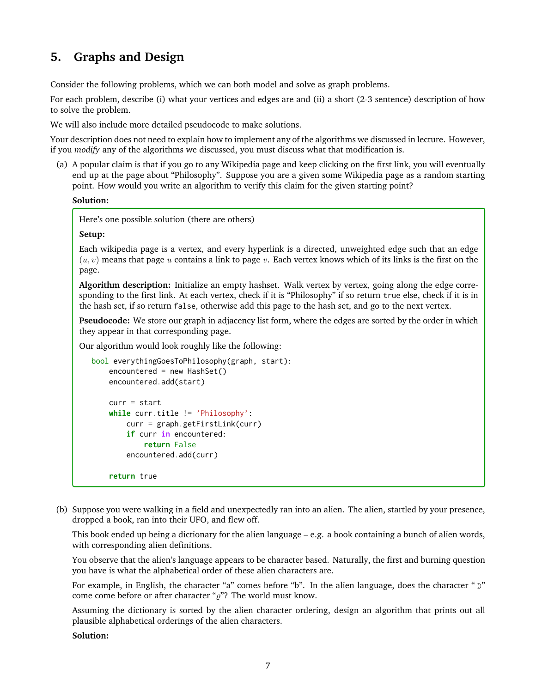## **5. Graphs and Design**

Consider the following problems, which we can both model and solve as graph problems.

For each problem, describe (i) what your vertices and edges are and (ii) a short (2-3 sentence) description of how to solve the problem.

We will also include more detailed pseudocode to make solutions.

Your description does not need to explain how to implement any of the algorithms we discussed in lecture. However, if you *modify* any of the algorithms we discussed, you must discuss what that modification is.

(a) A popular claim is that if you go to any Wikipedia page and keep clicking on the first link, you will eventually end up at the page about "Philosophy". Suppose you are a given some Wikipedia page as a random starting point. How would you write an algorithm to verify this claim for the given starting point?

### **Solution:**

Here's one possible solution (there are others)

### **Setup:**

Each wikipedia page is a vertex, and every hyperlink is a directed, unweighted edge such that an edge  $(u, v)$  means that page u contains a link to page v. Each vertex knows which of its links is the first on the page.

**Algorithm description:** Initialize an empty hashset. Walk vertex by vertex, going along the edge corresponding to the first link. At each vertex, check if it is "Philosophy" if so return true else, check if it is in the hash set, if so return false, otherwise add this page to the hash set, and go to the next vertex.

**Pseudocode:** We store our graph in adjacency list form, where the edges are sorted by the order in which they appear in that corresponding page.

Our algorithm would look roughly like the following:

```
bool everythingGoesToPhilosophy(graph, start):
   encountered = new HashSet()
   encountered.add(start)
    curr = startwhile curr.title != 'Philosophy':
        curr = graph.getFirstLink(curr)
        if curr in encountered:
            return False
        encountered.add(curr)
```
- **return** true
- (b) Suppose you were walking in a field and unexpectedly ran into an alien. The alien, startled by your presence, dropped a book, ran into their UFO, and flew off.

This book ended up being a dictionary for the alien language – e.g. a book containing a bunch of alien words, with corresponding alien definitions.

You observe that the alien's language appears to be character based. Naturally, the first and burning question you have is what the alphabetical order of these alien characters are.

For example, in English, the character "a" comes before "b". In the alien language, does the character " $\mathcal{V}$ " come come before or after character " $\rho$ "? The world must know.

Assuming the dictionary is sorted by the alien character ordering, design an algorithm that prints out all plausible alphabetical orderings of the alien characters.

### **Solution:**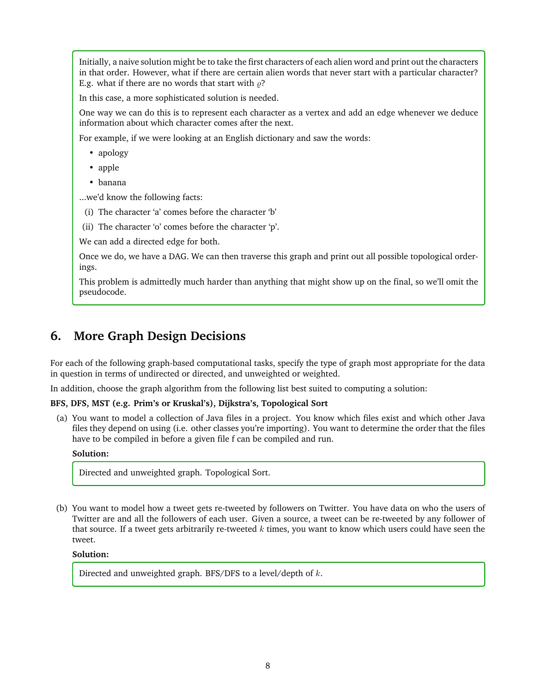Initially, a naive solution might be to take the first characters of each alien word and print out the characters in that order. However, what if there are certain alien words that never start with a particular character? E.g. what if there are no words that start with  $\rho$ ?

In this case, a more sophisticated solution is needed.

One way we can do this is to represent each character as a vertex and add an edge whenever we deduce information about which character comes after the next.

For example, if we were looking at an English dictionary and saw the words:

- apology
- apple
- banana

...we'd know the following facts:

- (i) The character 'a' comes before the character 'b'
- (ii) The character 'o' comes before the character 'p'.

We can add a directed edge for both.

Once we do, we have a DAG. We can then traverse this graph and print out all possible topological orderings.

This problem is admittedly much harder than anything that might show up on the final, so we'll omit the pseudocode.

## **6. More Graph Design Decisions**

For each of the following graph-based computational tasks, specify the type of graph most appropriate for the data in question in terms of undirected or directed, and unweighted or weighted.

In addition, choose the graph algorithm from the following list best suited to computing a solution:

### **BFS, DFS, MST (e.g. Prim's or Kruskal's), Dijkstra's, Topological Sort**

(a) You want to model a collection of Java files in a project. You know which files exist and which other Java files they depend on using (i.e. other classes you're importing). You want to determine the order that the files have to be compiled in before a given file f can be compiled and run.

### **Solution:**

Directed and unweighted graph. Topological Sort.

(b) You want to model how a tweet gets re-tweeted by followers on Twitter. You have data on who the users of Twitter are and all the followers of each user. Given a source, a tweet can be re-tweeted by any follower of that source. If a tweet gets arbitrarily re-tweeted  $k$  times, you want to know which users could have seen the tweet.

### **Solution:**

Directed and unweighted graph. BFS/DFS to a level/depth of  $k$ .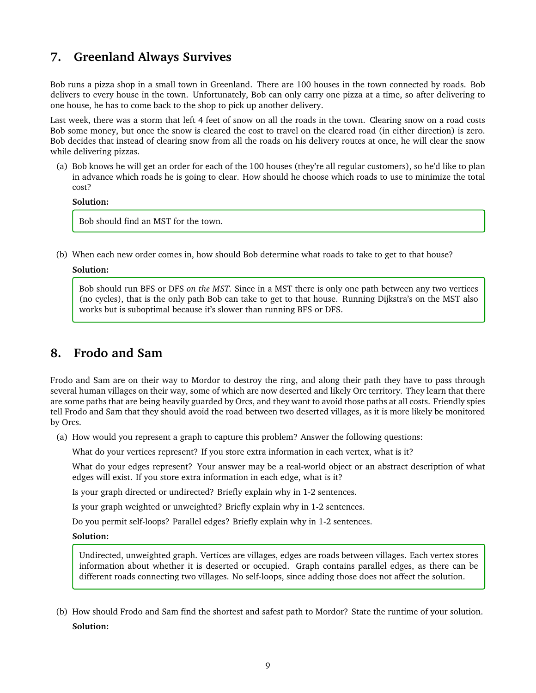## **7. Greenland Always Survives**

Bob runs a pizza shop in a small town in Greenland. There are 100 houses in the town connected by roads. Bob delivers to every house in the town. Unfortunately, Bob can only carry one pizza at a time, so after delivering to one house, he has to come back to the shop to pick up another delivery.

Last week, there was a storm that left 4 feet of snow on all the roads in the town. Clearing snow on a road costs Bob some money, but once the snow is cleared the cost to travel on the cleared road (in either direction) is zero. Bob decides that instead of clearing snow from all the roads on his delivery routes at once, he will clear the snow while delivering pizzas.

(a) Bob knows he will get an order for each of the 100 houses (they're all regular customers), so he'd like to plan in advance which roads he is going to clear. How should he choose which roads to use to minimize the total cost?

### **Solution:**

Bob should find an MST for the town.

(b) When each new order comes in, how should Bob determine what roads to take to get to that house?

### **Solution:**

Bob should run BFS or DFS *on the MST.* Since in a MST there is only one path between any two vertices (no cycles), that is the only path Bob can take to get to that house. Running Dijkstra's on the MST also works but is suboptimal because it's slower than running BFS or DFS.

## **8. Frodo and Sam**

Frodo and Sam are on their way to Mordor to destroy the ring, and along their path they have to pass through several human villages on their way, some of which are now deserted and likely Orc territory. They learn that there are some paths that are being heavily guarded by Orcs, and they want to avoid those paths at all costs. Friendly spies tell Frodo and Sam that they should avoid the road between two deserted villages, as it is more likely be monitored by Orcs.

(a) How would you represent a graph to capture this problem? Answer the following questions:

What do your vertices represent? If you store extra information in each vertex, what is it?

What do your edges represent? Your answer may be a real-world object or an abstract description of what edges will exist. If you store extra information in each edge, what is it?

Is your graph directed or undirected? Briefly explain why in 1-2 sentences.

Is your graph weighted or unweighted? Briefly explain why in 1-2 sentences.

Do you permit self-loops? Parallel edges? Briefly explain why in 1-2 sentences.

### **Solution:**

Undirected, unweighted graph. Vertices are villages, edges are roads between villages. Each vertex stores information about whether it is deserted or occupied. Graph contains parallel edges, as there can be different roads connecting two villages. No self-loops, since adding those does not affect the solution.

(b) How should Frodo and Sam find the shortest and safest path to Mordor? State the runtime of your solution. **Solution:**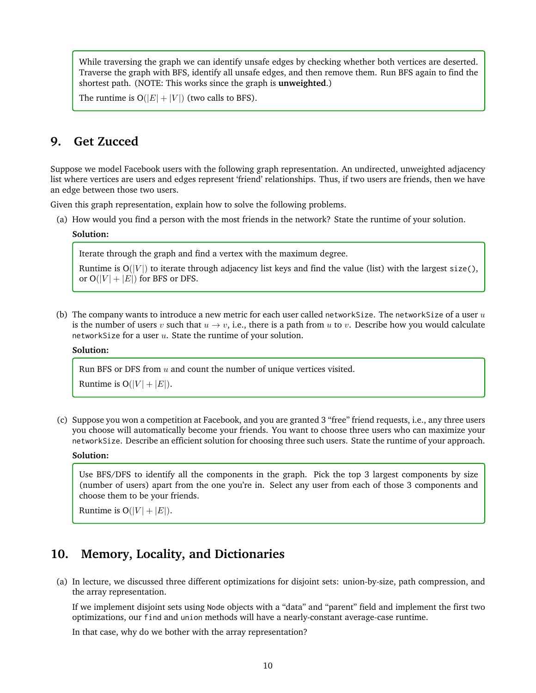While traversing the graph we can identify unsafe edges by checking whether both vertices are deserted. Traverse the graph with BFS, identify all unsafe edges, and then remove them. Run BFS again to find the shortest path. (NOTE: This works since the graph is **unweighted**.)

The runtime is  $O(|E| + |V|)$  (two calls to BFS).

### **9. Get Zucced**

Suppose we model Facebook users with the following graph representation. An undirected, unweighted adjacency list where vertices are users and edges represent 'friend' relationships. Thus, if two users are friends, then we have an edge between those two users.

Given this graph representation, explain how to solve the following problems.

(a) How would you find a person with the most friends in the network? State the runtime of your solution.

### **Solution:**

Iterate through the graph and find a vertex with the maximum degree.

Runtime is  $O(|V|)$  to iterate through adjacency list keys and find the value (list) with the largest size(), or  $O(|V| + |E|)$  for BFS or DFS.

(b) The company wants to introduce a new metric for each user called networkSize. The networkSize of a user  $u$ is the number of users v such that  $u \to v$ , i.e., there is a path from u to v. Describe how you would calculate networkSize for a user  $u$ . State the runtime of your solution.

### **Solution:**

Run BFS or DFS from  $u$  and count the number of unique vertices visited.

Runtime is  $O(|V| + |E|)$ .

(c) Suppose you won a competition at Facebook, and you are granted 3 "free" friend requests, i.e., any three users you choose will automatically become your friends. You want to choose three users who can maximize your networkSize. Describe an efficient solution for choosing three such users. State the runtime of your approach.

#### **Solution:**

Use BFS/DFS to identify all the components in the graph. Pick the top 3 largest components by size (number of users) apart from the one you're in. Select any user from each of those 3 components and choose them to be your friends.

Runtime is  $O(|V| + |E|)$ .

### **10. Memory, Locality, and Dictionaries**

(a) In lecture, we discussed three different optimizations for disjoint sets: union-by-size, path compression, and the array representation.

If we implement disjoint sets using Node objects with a "data" and "parent" field and implement the first two optimizations, our find and union methods will have a nearly-constant average-case runtime.

In that case, why do we bother with the array representation?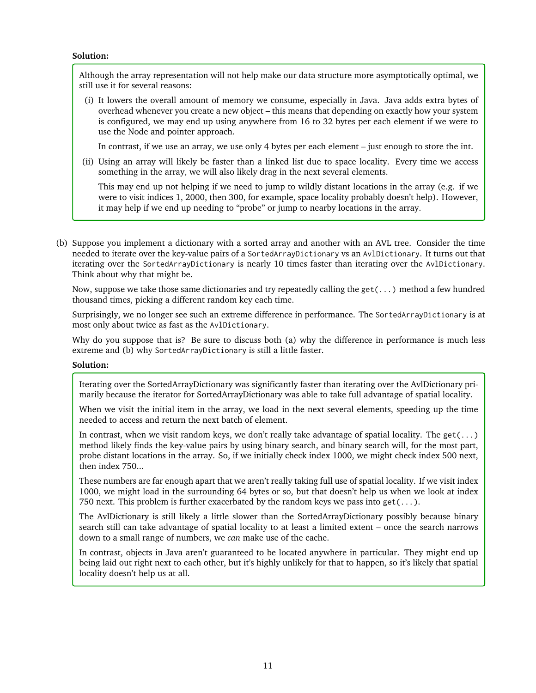### **Solution:**

Although the array representation will not help make our data structure more asymptotically optimal, we still use it for several reasons:

(i) It lowers the overall amount of memory we consume, especially in Java. Java adds extra bytes of overhead whenever you create a new object – this means that depending on exactly how your system is configured, we may end up using anywhere from 16 to 32 bytes per each element if we were to use the Node and pointer approach.

In contrast, if we use an array, we use only 4 bytes per each element – just enough to store the int.

(ii) Using an array will likely be faster than a linked list due to space locality. Every time we access something in the array, we will also likely drag in the next several elements.

This may end up not helping if we need to jump to wildly distant locations in the array (e.g. if we were to visit indices 1, 2000, then 300, for example, space locality probably doesn't help). However, it may help if we end up needing to "probe" or jump to nearby locations in the array.

(b) Suppose you implement a dictionary with a sorted array and another with an AVL tree. Consider the time needed to iterate over the key-value pairs of a SortedArrayDictionary vs an AvlDictionary. It turns out that iterating over the SortedArrayDictionary is nearly 10 times faster than iterating over the AvlDictionary. Think about why that might be.

Now, suppose we take those same dictionaries and try repeatedly calling the get(...) method a few hundred thousand times, picking a different random key each time.

Surprisingly, we no longer see such an extreme difference in performance. The SortedArrayDictionary is at most only about twice as fast as the AvlDictionary.

Why do you suppose that is? Be sure to discuss both (a) why the difference in performance is much less extreme and (b) why SortedArrayDictionary is still a little faster.

### **Solution:**

Iterating over the SortedArrayDictionary was significantly faster than iterating over the AvlDictionary primarily because the iterator for SortedArrayDictionary was able to take full advantage of spatial locality.

When we visit the initial item in the array, we load in the next several elements, speeding up the time needed to access and return the next batch of element.

In contrast, when we visit random keys, we don't really take advantage of spatial locality. The get( $\dots$ ) method likely finds the key-value pairs by using binary search, and binary search will, for the most part, probe distant locations in the array. So, if we initially check index 1000, we might check index 500 next, then index 750...

These numbers are far enough apart that we aren't really taking full use of spatial locality. If we visit index 1000, we might load in the surrounding 64 bytes or so, but that doesn't help us when we look at index 750 next. This problem is further exacerbated by the random keys we pass into get( $\dots$ ).

The AvlDictionary is still likely a little slower than the SortedArrayDictionary possibly because binary search still can take advantage of spatial locality to at least a limited extent – once the search narrows down to a small range of numbers, we *can* make use of the cache.

In contrast, objects in Java aren't guaranteed to be located anywhere in particular. They might end up being laid out right next to each other, but it's highly unlikely for that to happen, so it's likely that spatial locality doesn't help us at all.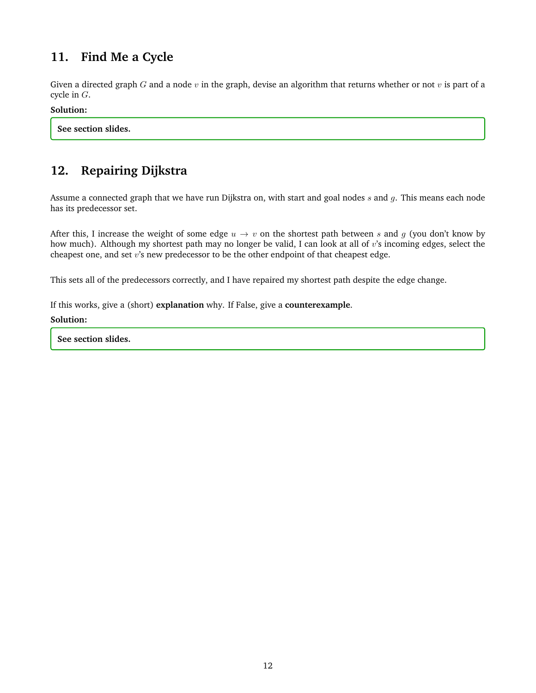# **11. Find Me a Cycle**

Given a directed graph G and a node  $v$  in the graph, devise an algorithm that returns whether or not  $v$  is part of a cycle in G.

### **Solution:**

**See section slides.**

# **12. Repairing Dijkstra**

Assume a connected graph that we have run Dijkstra on, with start and goal nodes s and q. This means each node has its predecessor set.

After this, I increase the weight of some edge  $u \to v$  on the shortest path between s and g (you don't know by how much). Although my shortest path may no longer be valid, I can look at all of v's incoming edges, select the cheapest one, and set  $v$ 's new predecessor to be the other endpoint of that cheapest edge.

This sets all of the predecessors correctly, and I have repaired my shortest path despite the edge change.

If this works, give a (short) **explanation** why. If False, give a **counterexample**.

### **Solution:**

**See section slides.**